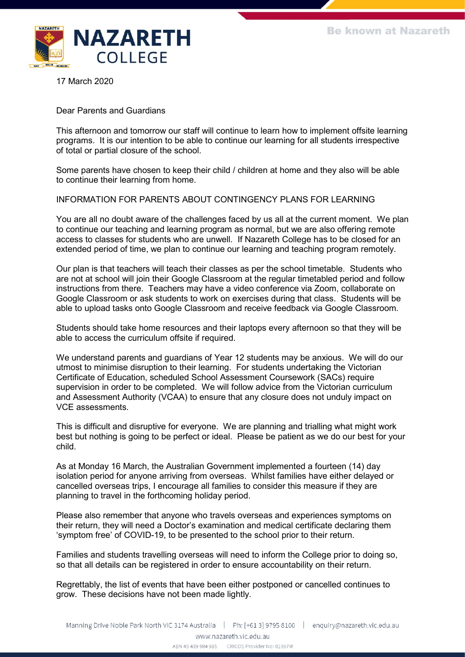

17 March 2020

Dear Parents and Guardians

This afternoon and tomorrow our staff will continue to learn how to implement offsite learning programs. It is our intention to be able to continue our learning for all students irrespective of total or partial closure of the school.

Some parents have chosen to keep their child / children at home and they also will be able to continue their learning from home.

## INFORMATION FOR PARENTS ABOUT CONTINGENCY PLANS FOR LEARNING

You are all no doubt aware of the challenges faced by us all at the current moment. We plan to continue our teaching and learning program as normal, but we are also offering remote access to classes for students who are unwell. If Nazareth College has to be closed for an extended period of time, we plan to continue our learning and teaching program remotely.

Our plan is that teachers will teach their classes as per the school timetable. Students who are not at school will join their Google Classroom at the regular timetabled period and follow instructions from there. Teachers may have a video conference via Zoom, collaborate on Google Classroom or ask students to work on exercises during that class. Students will be able to upload tasks onto Google Classroom and receive feedback via Google Classroom.

Students should take home resources and their laptops every afternoon so that they will be able to access the curriculum offsite if required.

We understand parents and guardians of Year 12 students may be anxious. We will do our utmost to minimise disruption to their learning. For students undertaking the Victorian Certificate of Education, scheduled School Assessment Coursework (SACs) require supervision in order to be completed. We will follow advice from the Victorian curriculum and Assessment Authority (VCAA) to ensure that any closure does not unduly impact on VCE assessments.

This is difficult and disruptive for everyone. We are planning and trialling what might work best but nothing is going to be perfect or ideal. Please be patient as we do our best for your child.

As at Monday 16 March, the Australian Government implemented a fourteen (14) day isolation period for anyone arriving from overseas. Whilst families have either delayed or cancelled overseas trips, I encourage all families to consider this measure if they are planning to travel in the forthcoming holiday period.

Please also remember that anyone who travels overseas and experiences symptoms on their return, they will need a Doctor's examination and medical certificate declaring them 'symptom free' of COVID-19, to be presented to the school prior to their return.

Families and students travelling overseas will need to inform the College prior to doing so, so that all details can be registered in order to ensure accountability on their return.

Regrettably, the list of events that have been either postponed or cancelled continues to grow. These decisions have not been made lightly.